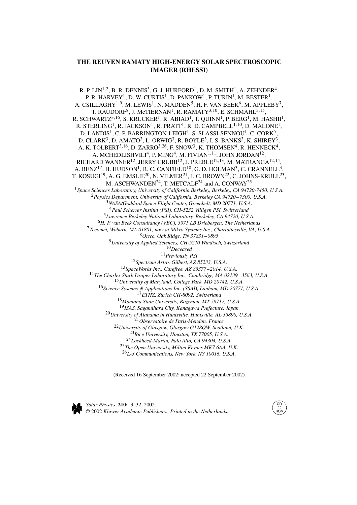# **THE REUVEN RAMATY HIGH-ENERGY SOLAR SPECTROSCOPIC IMAGER (RHESSI)**

R. P. LIN<sup>1,2</sup>, B. R. DENNIS<sup>3</sup>, G. J. HURFORD<sup>1</sup>, D. M. SMITH<sup>1</sup>, A. ZEHNDER<sup>4</sup>, P. R. HARVEY<sup>1</sup>, D. W. CURTIS<sup>1</sup>, D. PANKOW<sup>1</sup>, P. TURIN<sup>1</sup>, M. BESTER<sup>1</sup>, A. CSILLAGHY<sup>1,9</sup>, M. LEWIS<sup>1</sup>, N. MADDEN<sup>5</sup>, H. F. VAN BEEK<sup>6</sup>, M. APPLEBY<sup>7</sup>, T. RAUDORF8, J. McTIERNAN1, R. RAMATY3*,*10, E. SCHMAHL3*,*15, R. SCHWARTZ<sup>3,16</sup>, S. KRUCKER<sup>1</sup>, R. ABIAD<sup>1</sup>, T. QUINN<sup>1</sup>, P. BERG<sup>1</sup>, M. HASHII<sup>1</sup>, R. STERLING<sup>1</sup>, R. JACKSON<sup>1</sup>, R. PRATT<sup>1</sup>, R. D. CAMPBELL<sup>1,10</sup>, D. MALONE<sup>1</sup>, D. LANDIS<sup>1</sup>, C. P. BARRINGTON-LEIGH<sup>1</sup>, S. SLASSI-SENNOU<sup>1</sup>, C. CORK<sup>5</sup>, D. CLARK<sup>3</sup>, D. AMATO<sup>3</sup>, L. ORWIG<sup>3</sup>, R. BOYLE<sup>3</sup>, I. S. BANKS<sup>3</sup>, K. SHIREY<sup>3</sup>, A. K. TOLBERT<sup>3,16</sup>, D. ZARRO<sup>3,26</sup>, F. SNOW<sup>3</sup>, K. THOMSEN<sup>4</sup>, R. HENNECK<sup>4</sup>, A. MCHEDLISHVILI<sup>4</sup>, P. MING<sup>4</sup>, M. FIVIAN<sup>1,11</sup>, JOHN JORDAN<sup>12</sup>, RICHARD WANNER<sup>12</sup>, JERRY CRUBB<sup>12</sup>, J. PREBLE<sup>12, 13</sup>, M. MATRANGA<sup>12, 14</sup> A.  $BENZ^{17}$ , H. HUDSON<sup>1</sup>, R. C. CANFIELD<sup>18</sup>, G. D. HOLMAN<sup>3</sup>, C. CRANNELL<sup>3</sup> T. KOSUGI<sup>19</sup>, A. G. EMSLIE<sup>20</sup>, N. VILMER<sup>21</sup>, J. C. BROWN<sup>22</sup>, C. JOHNS-KRULL<sup>23</sup>, M. ASCHWANDEN<sup>24</sup>, T. METCALF<sup>24</sup> and A. CONWAY<sup>25</sup> *Space Sciences Laboratory, University of California Berkeley, Berkeley, CA 94720-7450, U.S.A. Physics Department, University of California, Berkeley CA 94720–7300, U.S.A. NASA/Goddard Space Flight Center, Greenbelt, MD 20771, U.S.A. Paul Scherrer Institut (PSI), CH-5232 Villigen PSI, Switzerland Lawrence Berkeley National Laboratory, Berkeley, CA 94720, U.S.A. H. F. van Beek Consultancy (VBC), 3971 LB Driebergen, The Netherlands Tecomet, Woburn, MA 01801, now at Mikro Systems Inc., Charlottesville, VA, U.S.A. Ortec, Oak Ridge, TN 37831–0895 University of Applied Sciences, CH-5210 Windisch, Switzerland* <sup>10</sup>*Deceased Previously PSI Spectrum Astro, Gilbert, AZ 85233, U.S.A. SpaceWorks Inc., Carefree, AZ 85377–2014, U.S.A. The Charles Stark Draper Laboratory Inc., Cambridge, MA 02139–3563, U.S.A. Universtity of Maryland, College Park, MD 20742, U.S.A. Science Systems & Applications Inc. (SSAI), Lanham, MD 20771, U.S.A. ETHZ, Zürich CH-8092, Switzerland Montana State University, Bozeman, MT 59717, U.S.A. ISAS, Sagamihara City, Kanagawa Prefecture, Japan University of Alabama in Huntsville, Huntsville, AL 35899, U.S.A. Observatoire de Paris-Meudon, France University of Glasgow, Glasgow G128QW, Scotland, U.K. Rice University, Houston, TX 77005, U.S.A. Lockheed-Martin, Palo Alto, CA 94304, U.S.A. The Open University, Milton Keynes MK7 6AA, U.K. L-3 Communications, New York, NY 10016, U.S.A.*

(Received 16 September 2002; accepted 22 September 2002)



*Solar Physics* **210:** 3–32, 2002. © 2002 *Kluwer Academic Publishers. Printed in the Netherlands.*

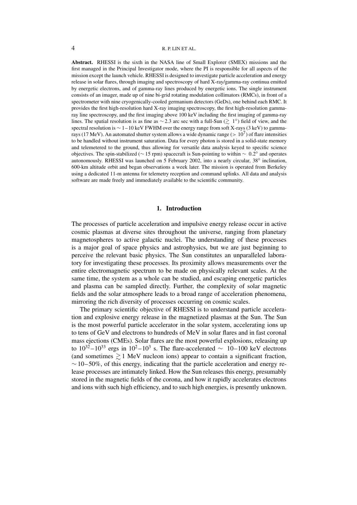**Abstract.** RHESSI is the sixth in the NASA line of Small Explorer (SMEX) missions and the first managed in the Principal Investigator mode, where the PI is responsible for all aspects of the mission except the launch vehicle. RHESSI is designed to investigate particle acceleration and energy release in solar flares, through imaging and spectroscopy of hard X-ray/gamma-ray continua emitted by energetic electrons, and of gamma-ray lines produced by energetic ions. The single instrument consists of an imager, made up of nine bi-grid rotating modulation collimators (RMCs), in front of a spectrometer with nine cryogenically-cooled germanium detectors (GeDs), one behind each RMC. It provides the first high-resolution hard X-ray imaging spectroscopy, the first high-resolution gammaray line spectroscopy, and the first imaging above 100 keV including the first imaging of gamma-ray lines. The spatial resolution is as fine as ∼ 2.3 arc sec with a full-Sun ( $\gtrsim 1°$ ) field of view, and the spectral resolution is ~ 1–10 keV FWHM over the energy range from soft X-rays (3 keV) to gammarays (17 MeV). An automated shutter system allows a wide dynamic range (*>* 107) of flare intensities to be handled without instrument saturation. Data for every photon is stored in a solid-state memory and telemetered to the ground, thus allowing for versatile data analysis keyed to specific science objectives. The spin-stabilized (∼ 15 rpm) spacecraft is Sun-pointing to within ∼ 0*.*2◦ and operates autonomously. RHESSI was launched on 5 February 2002, into a nearly circular, 38° inclination, 600-km altitude orbit and began observations a week later. The mission is operated from Berkeley using a dedicated 11-m antenna for telemetry reception and command uplinks. All data and analysis software are made freely and immediately available to the scientific community.

### **1. Introduction**

The processes of particle acceleration and impulsive energy release occur in active cosmic plasmas at diverse sites throughout the universe, ranging from planetary magnetospheres to active galactic nuclei. The understanding of these processes is a major goal of space physics and astrophysics, but we are just beginning to perceive the relevant basic physics. The Sun constitutes an unparalleled laboratory for investigating these processes. Its proximity allows measurements over the entire electromagnetic spectrum to be made on physically relevant scales. At the same time, the system as a whole can be studied, and escaping energetic particles and plasma can be sampled directly. Further, the complexity of solar magnetic fields and the solar atmosphere leads to a broad range of acceleration phenomena, mirroring the rich diversity of processes occurring on cosmic scales.

The primary scientific objective of RHESSI is to understand particle acceleration and explosive energy release in the magnetized plasmas at the Sun. The Sun is the most powerful particle accelerator in the solar system, accelerating ions up to tens of GeV and electrons to hundreds of MeV in solar flares and in fast coronal mass ejections (CMEs). Solar flares are the most powerful explosions, releasing up to  $10^{32} - 10^{33}$  ergs in  $10^2 - 10^3$  s. The flare-accelerated ∼ 10–100 keV electrons (and sometimes  $\geq 1$  MeV nucleon ions) appear to contain a significant fraction,  $\sim$  10–50%, of this energy, indicating that the particle acceleration and energy release processes are intimately linked. How the Sun releases this energy, presumably stored in the magnetic fields of the corona, and how it rapidly accelerates electrons and ions with such high efficiency, and to such high energies, is presently unknown.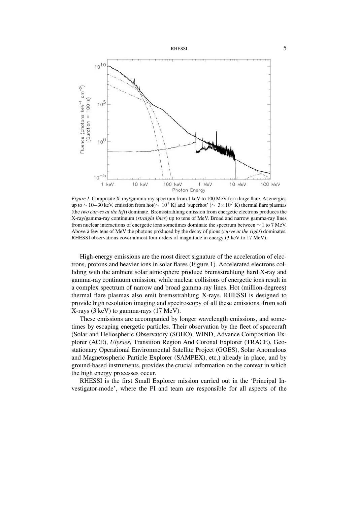

*Figure 1.* Composite X-ray/gamma-ray spectrum from 1 keV to 100 MeV for a large flare. At energies up to ∼ 10–30 keV, emission from hot( $\sim 10^7$  K) and 'superhot' ( $\sim 3 \times 10^7$  K) thermal flare plasmas (the *two curves at the left*) dominate. Bremsstrahlung emission from energetic electrons produces the X-ray/gamma-ray continuum (*straight lines*) up to tens of MeV. Broad and narrow gamma-ray lines from nuclear interactions of energetic ions sometimes dominate the spectrum between ∼ 1 to 7 MeV. Above a few tens of MeV the photons produced by the decay of pions (*curve at the right*) dominates. RHESSI observations cover almost four orders of magnitude in energy (3 keV to 17 MeV).

High-energy emissions are the most direct signature of the acceleration of electrons, protons and heavier ions in solar flares (Figure 1). Accelerated electrons colliding with the ambient solar atmosphere produce bremsstrahlung hard X-ray and gamma-ray continuum emission, while nuclear collisions of energetic ions result in a complex spectrum of narrow and broad gamma-ray lines. Hot (million-degrees) thermal flare plasmas also emit bremsstrahlung X-rays. RHESSI is designed to provide high resolution imaging and spectroscopy of all these emissions, from soft X-rays (3 keV) to gamma-rays (17 MeV).

These emissions are accompanied by longer wavelength emissions, and sometimes by escaping energetic particles. Their observation by the fleet of spacecraft (Solar and Heliospheric Observatory (SOHO), WIND, Advance Composition Explorer (ACE), *Ulysses*, Transition Region And Coronal Explorer (TRACE), Geostationary Operational Environmental Satellite Project (GOES), Solar Anomalous and Magnetospheric Particle Explorer (SAMPEX), etc.) already in place, and by ground-based instruments, provides the crucial information on the context in which the high energy processes occur.

RHESSI is the first Small Explorer mission carried out in the 'Principal Investigator-mode', where the PI and team are responsible for all aspects of the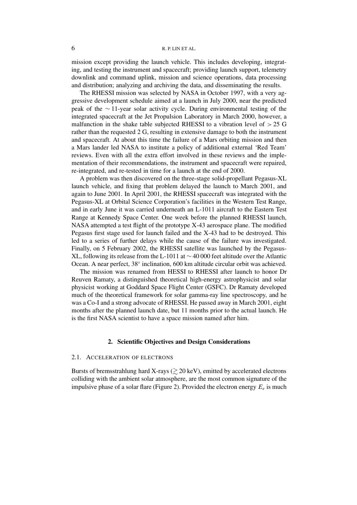mission except providing the launch vehicle. This includes developing, integrating, and testing the instrument and spacecraft; providing launch support, telemetry downlink and command uplink, mission and science operations, data processing and distribution; analyzing and archiving the data, and disseminating the results.

The RHESSI mission was selected by NASA in October 1997, with a very aggressive development schedule aimed at a launch in July 2000, near the predicted peak of the ∼ 11-year solar activity cycle. During environmental testing of the integrated spacecraft at the Jet Propulsion Laboratory in March 2000, however, a malfunction in the shake table subjected RHESSI to a vibration level of *>* 25 G rather than the requested 2 G, resulting in extensive damage to both the instrument and spacecraft. At about this time the failure of a Mars orbiting mission and then a Mars lander led NASA to institute a policy of additional external 'Red Team' reviews. Even with all the extra effort involved in these reviews and the implementation of their recommendations, the instrument and spacecraft were repaired, re-integrated, and re-tested in time for a launch at the end of 2000.

A problem was then discovered on the three-stage solid-propellant Pegasus-XL launch vehicle, and fixing that problem delayed the launch to March 2001, and again to June 2001. In April 2001, the RHESSI spacecraft was integrated with the Pegasus-XL at Orbital Science Corporation's facilities in the Western Test Range, and in early June it was carried underneath an L-1011 aircraft to the Eastern Test Range at Kennedy Space Center. One week before the planned RHESSI launch, NASA attempted a test flight of the prototype X-43 aerospace plane. The modified Pegasus first stage used for launch failed and the X-43 had to be destroyed. This led to a series of further delays while the cause of the failure was investigated. Finally, on 5 February 2002, the RHESSI satellite was launched by the Pegasus-XL, following its release from the L-1011 at ∼ 40 000 feet altitude over the Atlantic Ocean. A near perfect, 38◦ inclination, 600 km altitude circular orbit was achieved.

The mission was renamed from HESSI to RHESSI after launch to honor Dr Reuven Ramaty, a distinguished theoretical high-energy astrophysicist and solar physicist working at Goddard Space Flight Center (GSFC). Dr Ramaty developed much of the theoretical framework for solar gamma-ray line spectroscopy, and he was a Co-I and a strong advocate of RHESSI. He passed away in March 2001, eight months after the planned launch date, but 11 months prior to the actual launch. He is the first NASA scientist to have a space mission named after him.

### **2. Scientific Objectives and Design Considerations**

### 2.1. ACCELERATION OF ELECTRONS

Bursts of bremsstrahlung hard X-rays ( $\geq$  20 keV), emitted by accelerated electrons colliding with the ambient solar atmosphere, are the most common signature of the impulsive phase of a solar flare (Figure 2). Provided the electron energy  $E_e$  is much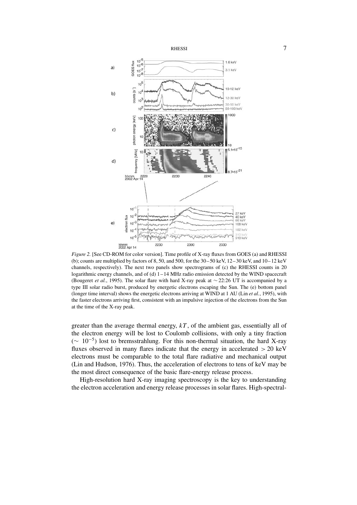

*Figure 2.* [See CD-ROM for color version]. Time profile of X-ray fluxes from GOES (a) and RHESSI (b); counts are multiplied by factors of 8, 50, and 500, for the  $30-50 \text{ keV}$ ,  $12-30 \text{ keV}$ , and  $10-12 \text{ keV}$ channels, respectively). The next two panels show spectrograms of (c) the RHESSI counts in 20 logarithmic energy channels, and of (d)  $1-14$  MHz radio emission detected by the WIND spacecraft (Bougeret *et al.*, 1995). The solar flare with hard X-ray peak at ∼ 22:26 UT is accompanied by a type III solar radio burst, produced by energetic electrons escaping the Sun. The (e) bottom panel (longer time interval) shows the energetic electrons arriving at WIND at 1 AU (Lin *et al.*, 1995), with the faster electrons arriving first, consistent with an impulsive injection of the electrons from the Sun at the time of the X-ray peak.

greater than the average thermal energy, *kT* , of the ambient gas, essentially all of the electron energy will be lost to Coulomb collisions, with only a tiny fraction  $(\sim 10^{-5})$  lost to bremsstrahlung. For this non-thermal situation, the hard X-ray fluxes observed in many flares indicate that the energy in accelerated *>* 20 keV electrons must be comparable to the total flare radiative and mechanical output (Lin and Hudson, 1976). Thus, the acceleration of electrons to tens of keV may be the most direct consequence of the basic flare-energy release process.

High-resolution hard X-ray imaging spectroscopy is the key to understanding the electron acceleration and energy release processes in solar flares. High-spectral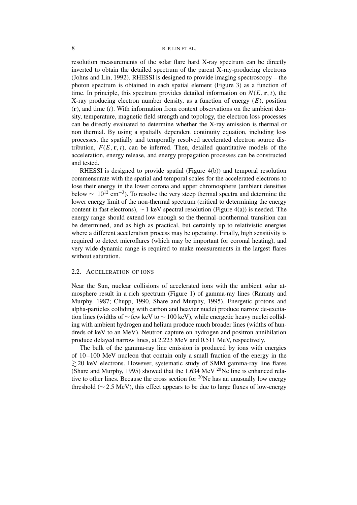resolution measurements of the solar flare hard X-ray spectrum can be directly inverted to obtain the detailed spectrum of the parent X-ray-producing electrons (Johns and Lin, 1992). RHESSI is designed to provide imaging spectroscopy – the photon spectrum is obtained in each spatial element (Figure 3) as a function of time. In principle, this spectrum provides detailed information on  $N(E, \mathbf{r}, t)$ , the X-ray producing electron number density, as a function of energy (*E*), position (**r**), and time (*t*). With information from context observations on the ambient density, temperature, magnetic field strength and topology, the electron loss processes can be directly evaluated to determine whether the X-ray emission is thermal or non thermal. By using a spatially dependent continuity equation, including loss processes, the spatially and temporally resolved accelerated electron source distribution,  $F(E, \mathbf{r}, t)$ , can be inferred. Then, detailed quantitative models of the acceleration, energy release, and energy propagation processes can be constructed and tested.

RHESSI is designed to provide spatial (Figure 4(b)) and temporal resolution commensurate with the spatial and temporal scales for the accelerated electrons to lose their energy in the lower corona and upper chromosphere (ambient densities below  $\sim 10^{12}$  cm<sup>-3</sup>). To resolve the very steep thermal spectra and determine the lower energy limit of the non-thermal spectrum (critical to determining the energy content in fast electrons),  $\sim$  1 keV spectral resolution (Figure 4(a)) is needed. The energy range should extend low enough so the thermal–nonthermal transition can be determined, and as high as practical, but certainly up to relativistic energies where a different acceleration process may be operating. Finally, high sensitivity is required to detect microflares (which may be important for coronal heating), and very wide dynamic range is required to make measurements in the largest flares without saturation.

## 2.2. ACCELERATION OF IONS

Near the Sun, nuclear collisions of accelerated ions with the ambient solar atmosphere result in a rich spectrum (Figure 1) of gamma-ray lines (Ramaty and Murphy, 1987; Chupp, 1990, Share and Murphy, 1995). Energetic protons and alpha-particles colliding with carbon and heavier nuclei produce narrow de-excitation lines (widths of ∼ few keV to ∼ 100 keV), while energetic heavy nuclei colliding with ambient hydrogen and helium produce much broader lines (widths of hundreds of keV to an MeV). Neutron capture on hydrogen and positron annihilation produce delayed narrow lines, at 2.223 MeV and 0.511 MeV, respectively.

The bulk of the gamma-ray line emission is produced by ions with energies of 10–100 MeV nucleon that contain only a small fraction of the energy in the  $\geq$  20 keV electrons. However, systematic study of SMM gamma-ray line flares (Share and Murphy, 1995) showed that the 1.634 MeV  $^{20}$ Ne line is enhanced relative to other lines. Because the cross section for  $^{20}$ Ne has an unusually low energy threshold ( $\sim$  2.5 MeV), this effect appears to be due to large fluxes of low-energy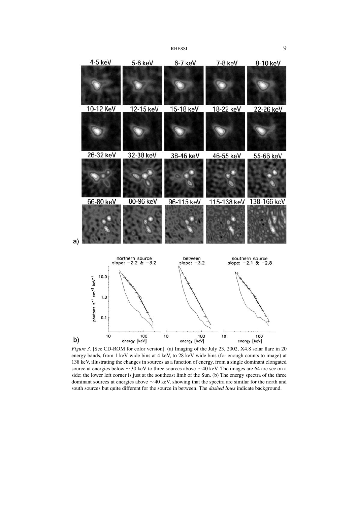

*Figure 3.* [See CD-ROM for color version]. (a) Imaging of the July 23, 2002, X4.8 solar flare in 20 energy bands, from 1 keV wide bins at 4 keV, to 28 keV wide bins (for enough counts to image) at 138 keV, illustrating the changes in sources as a function of energy, from a single dominant elongated source at energies below ∼ 30 keV to three sources above ~ 40 keV. The images are 64 arc sec on a side; the lower left corner is just at the southeast limb of the Sun. (b) The energy spectra of the three dominant sources at energies above ∼ 40 keV, showing that the spectra are similar for the north and south sources but quite different for the source in between. The *dashed lines* indicate background.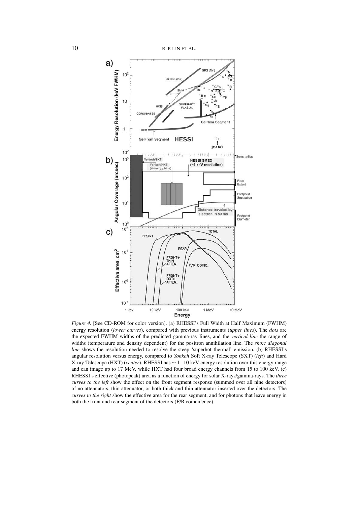

*Figure 4.* [See CD-ROM for color version]. (a) RHESSI's Full Width at Half Maximum (FWHM) energy resolution (*lower curves*), compared with previous instruments (*upper lines*). The *dots* are the expected FWHM widths of the predicted gamma-ray lines, and the *vertical line* the range of widths (temperature and density dependent) for the positron annihilation line. The *short diagonal line* shows the resolution needed to resolve the steep 'superhot thermal' emission. (b) RHESSI's angular resolution versus energy, compared to *Yohkoh* Soft X-ray Telescope (SXT) (*left*) and Hard X-ray Telescope (HXT) (*center*). RHESSI has ∼ 1–10 keV energy resolution over this energy range and can image up to 17 MeV, while HXT had four broad energy channels from 15 to 100 keV. (c) RHESSI's effective (photopeak) area as a function of energy for solar X-rays/gamma-rays. The *three curves to the left* show the effect on the front segment response (summed over all nine detectors) of no attenuators, thin attenuator, or both thick and thin attenuator inserted over the detectors. The *curves to the right* show the effective area for the rear segment, and for photons that leave energy in both the front and rear segment of the detectors (F/R coincidence).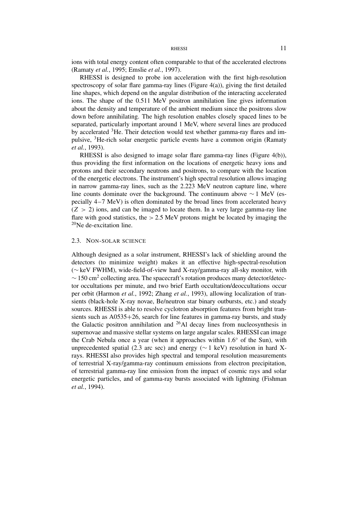ions with total energy content often comparable to that of the accelerated electrons (Ramaty *et al.*, 1995; Emslie *et al.*, 1997).

RHESSI is designed to probe ion acceleration with the first high-resolution spectroscopy of solar flare gamma-ray lines (Figure 4(a)), giving the first detailed line shapes, which depend on the angular distribution of the interacting accelerated ions. The shape of the 0.511 MeV positron annihilation line gives information about the density and temperature of the ambient medium since the positrons slow down before annihilating. The high resolution enables closely spaced lines to be separated, particularly important around 1 MeV, where several lines are produced by accelerated <sup>3</sup>He. Their detection would test whether gamma-ray flares and impulsive, 3He-rich solar energetic particle events have a common origin (Ramaty *et al.*, 1993).

RHESSI is also designed to image solar flare gamma-ray lines (Figure 4(b)), thus providing the first information on the locations of energetic heavy ions and protons and their secondary neutrons and positrons, to compare with the location of the energetic electrons. The instrument's high spectral resolution allows imaging in narrow gamma-ray lines, such as the 2.223 MeV neutron capture line, where line counts dominate over the background. The continuum above ∼ 1 MeV (especially 4–7 MeV) is often dominated by the broad lines from accelerated heavy  $(Z > 2)$  ions, and can be imaged to locate them. In a very large gamma-ray line flare with good statistics, the *>* 2.5 MeV protons might be located by imaging the  $20$ Ne de-excitation line.

## 2.3. NON-SOLAR SCIENCE

Although designed as a solar instrument, RHESSI's lack of shielding around the detectors (to minimize weight) makes it an effective high-spectral-resolution (∼ keV FWHM), wide-field-of-view hard X-ray/gamma-ray all-sky monitor, with  $\sim$  150 cm<sup>2</sup> collecting area. The spacecraft's rotation produces many detector/detector occultations per minute, and two brief Earth occultation/deoccultations occur per orbit (Harmon *et al.*, 1992; Zhang *et al.*, 1993), allowing localization of transients (black-hole X-ray novae, Be/neutron star binary outbursts, etc.) and steady sources. RHESSI is able to resolve cyclotron absorption features from bright transients such as A0535+26, search for line features in gamma-ray bursts, and study the Galactic positron annihilation and  $26$ Al decay lines from nucleosynthesis in supernovae and massive stellar systems on large angular scales. RHESSI can image the Crab Nebula once a year (when it approaches within 1*.*6◦ of the Sun), with unprecedented spatial (2.3 arc sec) and energy ( $\sim$  1 keV) resolution in hard Xrays. RHESSI also provides high spectral and temporal resolution measurements of terrestrial X-ray/gamma-ray continuum emissions from electron precipitation, of terrestrial gamma-ray line emission from the impact of cosmic rays and solar energetic particles, and of gamma-ray bursts associated with lightning (Fishman *et al.*, 1994).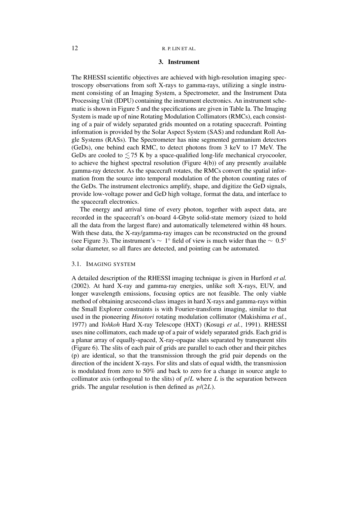## **3. Instrument**

The RHESSI scientific objectives are achieved with high-resolution imaging spectroscopy observations from soft X-rays to gamma-rays, utilizing a single instrument consisting of an Imaging System, a Spectrometer, and the Instrument Data Processing Unit (IDPU) containing the instrument electronics. An instrument schematic is shown in Figure 5 and the specifications are given in Table Ia. The Imaging System is made up of nine Rotating Modulation Collimators (RMCs), each consisting of a pair of widely separated grids mounted on a rotating spacecraft. Pointing information is provided by the Solar Aspect System (SAS) and redundant Roll Angle Systems (RASs). The Spectrometer has nine segmented germanium detectors (GeDs), one behind each RMC, to detect photons from 3 keV to 17 MeV. The GeDs are cooled to  $\lesssim$  75 K by a space-qualified long-life mechanical cryocooler, to achieve the highest spectral resolution (Figure 4(b)) of any presently available gamma-ray detector. As the spacecraft rotates, the RMCs convert the spatial information from the source into temporal modulation of the photon counting rates of the GeDs. The instrument electronics amplify, shape, and digitize the GeD signals, provide low-voltage power and GeD high voltage, format the data, and interface to the spacecraft electronics.

The energy and arrival time of every photon, together with aspect data, are recorded in the spacecraft's on-board 4-Gbyte solid-state memory (sized to hold all the data from the largest flare) and automatically telemetered within 48 hours. With these data, the X-ray/gamma-ray images can be reconstructed on the ground (see Figure 3). The instrument's  $\sim 1^\circ$  field of view is much wider than the  $\sim 0.5^\circ$ solar diameter, so all flares are detected, and pointing can be automated.

#### 3.1. IMAGING SYSTEM

A detailed description of the RHESSI imaging technique is given in Hurford *et al.* (2002). At hard X-ray and gamma-ray energies, unlike soft X-rays, EUV, and longer wavelength emissions, focusing optics are not feasible. The only viable method of obtaining arcsecond-class images in hard X-rays and gamma-rays within the Small Explorer constraints is with Fourier-transform imaging, similar to that used in the pioneering *Hinotori* rotating modulation collimator (Makishima *et al.*, 1977) and *Yohkoh* Hard X-ray Telescope (HXT) (Kosugi *et al.*, 1991). RHESSI uses nine collimators, each made up of a pair of widely separated grids. Each grid is a planar array of equally-spaced, X-ray-opaque slats separated by transparent slits (Figure 6). The slits of each pair of grids are parallel to each other and their pitches (p) are identical, so that the transmission through the grid pair depends on the direction of the incident X-rays. For slits and slats of equal width, the transmission is modulated from zero to 50% and back to zero for a change in source angle to collimator axis (orthogonal to the slits) of *p*/*L* where *L* is the separation between grids. The angular resolution is then defined as *p*/(2*L*).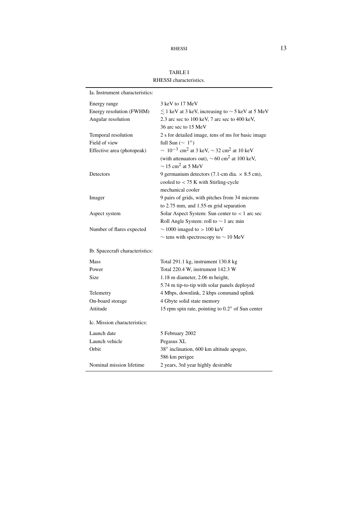| <b>TABLE I</b>          |
|-------------------------|
| RHESSI characteristics. |

| 3 keV to 17 MeV<br>Energy range                                                                            |  |
|------------------------------------------------------------------------------------------------------------|--|
| $\lesssim$ 1 keV at 3 keV, increasing to $\sim$ 5 keV at 5 MeV<br>Energy resolution (FWHM)                 |  |
| 2.3 arc sec to 100 keV, 7 arc sec to 400 keV,<br>Angular resolution                                        |  |
| 36 arc sec to 15 MeV                                                                                       |  |
| Temporal resolution<br>2 s for detailed image, tens of ms for basic image                                  |  |
| Field of view<br>full Sun ( $\sim 1^{\circ}$ )                                                             |  |
| $\sim 10^{-3}$ cm <sup>2</sup> at 3 keV, $\sim$ 32 cm <sup>2</sup> at 10 keV<br>Effective area (photopeak) |  |
| (with attenuators out), $\sim 60$ cm <sup>2</sup> at 100 keV,                                              |  |
| $\sim$ 15 cm <sup>2</sup> at 5 MeV                                                                         |  |
| 9 germanium detectors (7.1-cm dia. $\times$ 8.5 cm),<br>Detectors                                          |  |
| cooled to $<$ 75 K with Stirling-cycle                                                                     |  |
| mechanical cooler                                                                                          |  |
| 9 pairs of grids, with pitches from 34 microns<br>Imager                                                   |  |
| to 2.75 mm, and 1.55-m grid separation                                                                     |  |
| Solar Aspect System: Sun center to $< 1$ arc sec<br>Aspect system                                          |  |
| Roll Angle System: roll to $\sim$ 1 arc min                                                                |  |
| $\sim$ 1000 imaged to $>$ 100 keV<br>Number of flares expected                                             |  |
| $\sim$ tens with spectroscopy to $\sim$ 10 MeV                                                             |  |
| Ib. Spacecraft characteristics:                                                                            |  |
| Mass<br>Total 291.1 kg, instrument 130.8 kg                                                                |  |
| Total 220.4 W, instrument 142.3 W<br>Power                                                                 |  |
| Size<br>1.18 m diameter, 2.06 m height,                                                                    |  |
| 5.74 m tip-to-tip with solar panels deployed                                                               |  |
| 4 Mbps, downlink, 2 kbps command uplink<br>Telemetry                                                       |  |
| On-board storage<br>4 Gbyte solid state memory                                                             |  |
| 15 rpm spin rate, pointing to 0.2° of Sun center<br>Attitude                                               |  |
| Ic. Mission characteristics:                                                                               |  |
| Launch date<br>5 February 2002                                                                             |  |
| Launch vehicle<br>Pegasus XL                                                                               |  |
| 38° inclination, 600 km altitude apogee,<br>Orbit                                                          |  |
| 586 km perigee                                                                                             |  |
| 2 years, 3rd year highly desirable<br>Nominal mission lifetime                                             |  |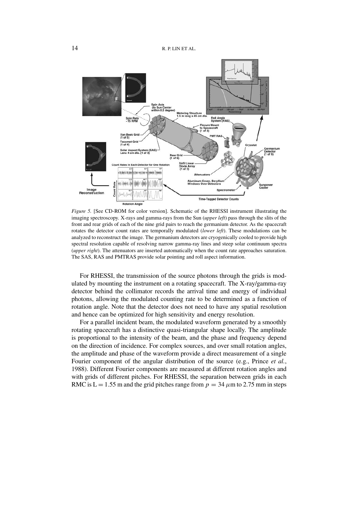

*Figure 5.* [See CD-ROM for color version]. Schematic of the RHESSI instrument illustrating the imaging spectroscopy. X-rays and gamma-rays from the Sun (*upper left*) pass through the slits of the front and rear grids of each of the nine grid pairs to reach the germanium detector. As the spacecraft rotates the detector count rates are temporally modulated (*lower left*). These modulations can be analyzed to reconstruct the image. The germanium detectors are cryogenically cooled to provide high spectral resolution capable of resolving narrow gamma-ray lines and steep solar continuum spectra (*upper right*). The attenuators are inserted automatically when the count rate approaches saturation. The SAS, RAS and PMTRAS provide solar pointing and roll aspect information.

For RHESSI, the transmission of the source photons through the grids is modulated by mounting the instrument on a rotating spacecraft. The X-ray/gamma-ray detector behind the collimator records the arrival time and energy of individual photons, allowing the modulated counting rate to be determined as a function of rotation angle. Note that the detector does not need to have any spatial resolution and hence can be optimized for high sensitivity and energy resolution.

For a parallel incident beam, the modulated waveform generated by a smoothly rotating spacecraft has a distinctive quasi-triangular shape locally. The amplitude is proportional to the intensity of the beam, and the phase and frequency depend on the direction of incidence. For complex sources, and over small rotation angles, the amplitude and phase of the waveform provide a direct measurement of a single Fourier component of the angular distribution of the source (e.g., Prince *et al.*, 1988). Different Fourier components are measured at different rotation angles and with grids of different pitches. For RHESSI, the separation between grids in each RMC is  $L = 1.55$  m and the grid pitches range from  $p = 34 \mu$ m to 2.75 mm in steps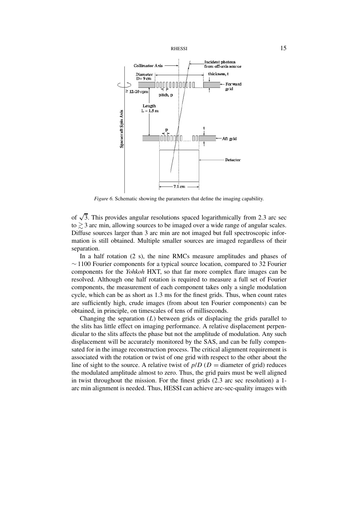

*Figure 6.* Schematic showing the parameters that define the imaging capability.

of  $\sqrt{3}$ . This provides angular resolutions spaced logarithmically from 2.3 arc sec to  $\geq$  3 arc min, allowing sources to be imaged over a wide range of angular scales. Diffuse sources larger than 3 arc min are not imaged but full spectroscopic information is still obtained. Multiple smaller sources are imaged regardless of their separation.

In a half rotation (2 s), the nine RMCs measure amplitudes and phases of  $\sim$  1100 Fourier components for a typical source location, compared to 32 Fourier components for the *Yohkoh* HXT, so that far more complex flare images can be resolved. Although one half rotation is required to measure a full set of Fourier components, the measurement of each component takes only a single modulation cycle, which can be as short as 1.3 ms for the finest grids. Thus, when count rates are sufficiently high, crude images (from about ten Fourier components) can be obtained, in principle, on timescales of tens of milliseconds.

Changing the separation (*L*) between grids or displacing the grids parallel to the slits has little effect on imaging performance. A relative displacement perpendicular to the slits affects the phase but not the amplitude of modulation. Any such displacement will be accurately monitored by the SAS, and can be fully compensated for in the image reconstruction process. The critical alignment requirement is associated with the rotation or twist of one grid with respect to the other about the line of sight to the source. A relative twist of  $p/D$  ( $D =$  diameter of grid) reduces the modulated amplitude almost to zero. Thus, the grid pairs must be well aligned in twist throughout the mission. For the finest grids (2.3 arc sec resolution) a 1 arc min alignment is needed. Thus, HESSI can achieve arc-sec-quality images with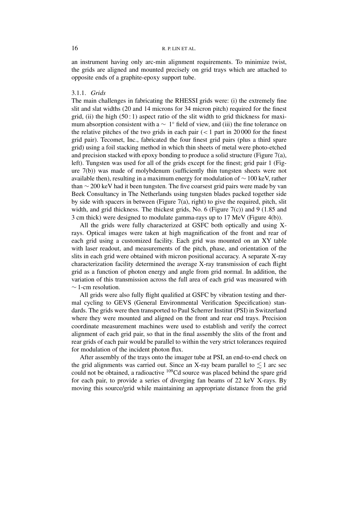an instrument having only arc-min alignment requirements. To minimize twist, the grids are aligned and mounted precisely on grid trays which are attached to opposite ends of a graphite-epoxy support tube.

#### 3.1.1. *Grids*

The main challenges in fabricating the RHESSI grids were: (i) the extremely fine slit and slat widths (20 and 14 microns for 34 micron pitch) required for the finest grid, (ii) the high  $(50:1)$  aspect ratio of the slit width to grid thickness for maximum absorption consistent with a  $\sim 1^{\circ}$  field of view, and (iii) the fine tolerance on the relative pitches of the two grids in each pair  $\left($  < 1 part in 20000 for the finest grid pair). Tecomet, Inc., fabricated the four finest grid pairs (plus a third spare grid) using a foil stacking method in which thin sheets of metal were photo-etched and precision stacked with epoxy bonding to produce a solid structure (Figure 7(a), left). Tungsten was used for all of the grids except for the finest; grid pair 1 (Figure 7(b)) was made of molybdenum (sufficiently thin tungsten sheets were not available then), resulting in a maximum energy for modulation of  $\sim$  100 keV, rather than ∼ 200 keV had it been tungsten. The five coarsest grid pairs were made by van Beek Consultancy in The Netherlands using tungsten blades packed together side by side with spacers in between (Figure 7(a), right) to give the required, pitch, slit width, and grid thickness. The thickest grids, No. 6 (Figure 7(c)) and 9 (1.85 and 3 cm thick) were designed to modulate gamma-rays up to 17 MeV (Figure 4(b)).

All the grids were fully characterized at GSFC both optically and using Xrays. Optical images were taken at high magnification of the front and rear of each grid using a customized facility. Each grid was mounted on an XY table with laser readout, and measurements of the pitch, phase, and orientation of the slits in each grid were obtained with micron positional accuracy. A separate X-ray characterization facility determined the average X-ray transmission of each flight grid as a function of photon energy and angle from grid normal. In addition, the variation of this transmission across the full area of each grid was measured with  $\sim$  1-cm resolution.

All grids were also fully flight qualified at GSFC by vibration testing and thermal cycling to GEVS (General Environmental Verification Specification) standards. The grids were then transported to Paul Scherrer Institut (PSI) in Switzerland where they were mounted and aligned on the front and rear end trays. Precision coordinate measurement machines were used to establish and verify the correct alignment of each grid pair, so that in the final assembly the slits of the front and rear grids of each pair would be parallel to within the very strict tolerances required for modulation of the incident photon flux.

After assembly of the trays onto the imager tube at PSI, an end-to-end check on the grid alignments was carried out. Since an X-ray beam parallel to  $\lesssim$  1 arc sec could not be obtained, a radioactive <sup>109</sup>Cd source was placed behind the spare grid for each pair, to provide a series of diverging fan beams of 22 keV X-rays. By moving this source/grid while maintaining an appropriate distance from the grid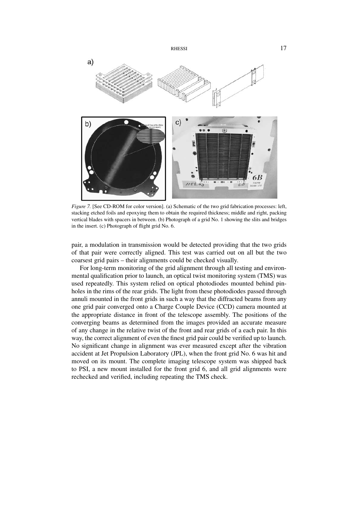

*Figure 7.* [See CD-ROM for color version]. (a) Schematic of the two grid fabrication processes: left, stacking etched foils and epoxying them to obtain the required thickness; middle and right, packing vertical blades with spacers in between. (b) Photograph of a grid No. 1 showing the slits and bridges in the insert. (c) Photograph of flight grid No. 6.

pair, a modulation in transmission would be detected providing that the two grids of that pair were correctly aligned. This test was carried out on all but the two coarsest grid pairs – their alignments could be checked visually.

For long-term monitoring of the grid alignment through all testing and environmental qualification prior to launch, an optical twist monitoring system (TMS) was used repeatedly. This system relied on optical photodiodes mounted behind pinholes in the rims of the rear grids. The light from these photodiodes passed through annuli mounted in the front grids in such a way that the diffracted beams from any one grid pair converged onto a Charge Couple Device (CCD) camera mounted at the appropriate distance in front of the telescope assembly. The positions of the converging beams as determined from the images provided an accurate measure of any change in the relative twist of the front and rear grids of a each pair. In this way, the correct alignment of even the finest grid pair could be verified up to launch. No significant change in alignment was ever measured except after the vibration accident at Jet Propulsion Laboratory (JPL), when the front grid No. 6 was hit and moved on its mount. The complete imaging telescope system was shipped back to PSI, a new mount installed for the front grid 6, and all grid alignments were rechecked and verified, including repeating the TMS check.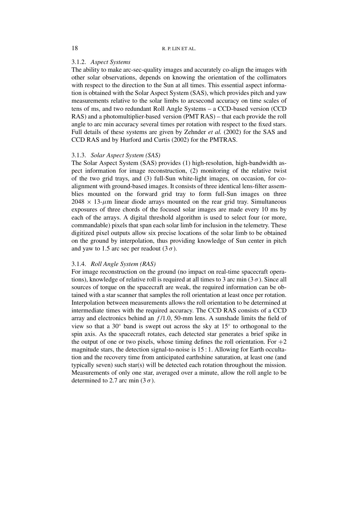## 3.1.2. *Aspect Systems*

The ability to make arc-sec-quality images and accurately co-align the images with other solar observations, depends on knowing the orientation of the collimators with respect to the direction to the Sun at all times. This essential aspect information is obtained with the Solar Aspect System (SAS), which provides pitch and yaw measurements relative to the solar limbs to arcsecond accuracy on time scales of tens of ms, and two redundant Roll Angle Systems – a CCD-based version (CCD RAS) and a photomultiplier-based version (PMT RAS) – that each provide the roll angle to arc min accuracy several times per rotation with respect to the fixed stars. Full details of these systems are given by Zehnder *et al.* (2002) for the SAS and CCD RAS and by Hurford and Curtis (2002) for the PMTRAS.

## 3.1.3. *Solar Aspect System (SAS)*

The Solar Aspect System (SAS) provides (1) high-resolution, high-bandwidth aspect information for image reconstruction, (2) monitoring of the relative twist of the two grid trays, and (3) full-Sun white-light images, on occasion, for coalignment with ground-based images. It consists of three identical lens-filter assemblies mounted on the forward grid tray to form full-Sun images on three  $2048 \times 13$ -*µm* linear diode arrays mounted on the rear grid tray. Simultaneous exposures of three chords of the focused solar images are made every 10 ms by each of the arrays. A digital threshold algorithm is used to select four (or more, commandable) pixels that span each solar limb for inclusion in the telemetry. These digitized pixel outputs allow six precise locations of the solar limb to be obtained on the ground by interpolation, thus providing knowledge of Sun center in pitch and yaw to 1.5 arc sec per readout  $(3 \sigma)$ .

## 3.1.4. *Roll Angle System (RAS)*

For image reconstruction on the ground (no impact on real-time spacecraft operations), knowledge of relative roll is required at all times to 3 arc min  $(3 \sigma)$ . Since all sources of torque on the spacecraft are weak, the required information can be obtained with a star scanner that samples the roll orientation at least once per rotation. Interpolation between measurements allows the roll orientation to be determined at intermediate times with the required accuracy. The CCD RAS consists of a CCD array and electronics behind an *f* /1.0, 50-mm lens. A sunshade limits the field of view so that a 30◦ band is swept out across the sky at 15◦ to orthogonal to the spin axis. As the spacecraft rotates, each detected star generates a brief spike in the output of one or two pixels, whose timing defines the roll orientation. For  $+2$ magnitude stars, the detection signal-to-noise is 15 : 1. Allowing for Earth occultation and the recovery time from anticipated earthshine saturation, at least one (and typically seven) such star(s) will be detected each rotation throughout the mission. Measurements of only one star, averaged over a minute, allow the roll angle to be determined to 2.7 arc min  $(3 \sigma)$ .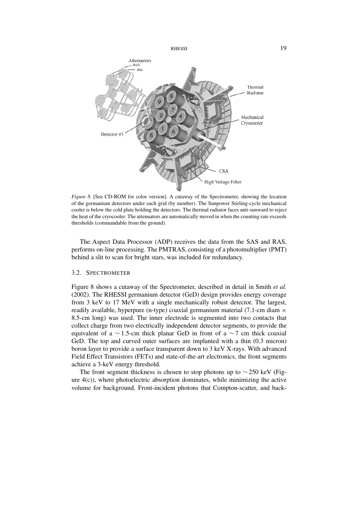

*Figure 8.* [See CD-ROM for color version]. A cutaway of the Spectrometer, showing the location of the germanium detectors under each grid (by number). The Sunpower Stirling-cycle mechanical cooler is below the cold plate holding the detectors. The thermal radiator faces anti-sunward to reject the heat of the cryocooler. The attenuators are automatically moved in when the counting rate exceeds thresholds (commandable from the ground).

The Aspect Data Processor (ADP) receives the data from the SAS and RAS, performs on-line processing. The PMTRAS, consisting of a photomultiplier (PMT) behind a slit to scan for bright stars, was included for redundancy.

## 3.2. SPECTROMETER

Figure 8 shows a cutaway of the Spectrometer, described in detail in Smith *et al.* (2002). The RHESSI germanium detector (GeD) design provides energy coverage from 3 keV to 17 MeV with a single mechanically robust detector. The largest, readily available, hyperpure (n-type) coaxial germanium material (7.1-cm diam  $\times$ 8.5-cm long) was used. The inner electrode is segmented into two contacts that collect charge from two electrically independent detector segments, to provide the equivalent of a ∼1.5-cm thick planar GeD in front of a  $\sim$  7 cm thick coaxial GeD. The top and curved outer surfaces are implanted with a thin (0.3 micron) boron layer to provide a surface transparent down to 3 keV X-rays. With advanced Field Effect Transistors (FETs) and state-of-the-art electronics, the front segments achieve a 3-keV energy threshold.

The front segment thickness is chosen to stop photons up to  $\sim$  250 keV (Figure 4(c)), where photoelectric absorption dominates, while minimizing the active volume for background. Front-incident photons that Compton-scatter, and back-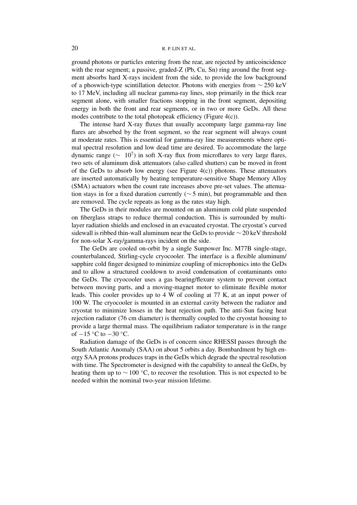ground photons or particles entering from the rear, are rejected by anticoincidence with the rear segment; a passive, graded-Z (Pb, Cu, Sn) ring around the front segment absorbs hard X-rays incident from the side, to provide the low background of a phoswich-type scintillation detector. Photons with energies from ∼ 250 keV to 17 MeV, including all nuclear gamma-ray lines, stop primarily in the thick rear segment alone, with smaller fractions stopping in the front segment, depositing energy in both the front and rear segments, or in two or more GeDs. All these modes contribute to the total photopeak efficiency (Figure 4(c)).

The intense hard X-ray fluxes that usually accompany large gamma-ray line flares are absorbed by the front segment, so the rear segment will always count at moderate rates. This is essential for gamma-ray line measurements where optimal spectral resolution and low dead time are desired. To accommodate the large dynamic range ( $\sim 10^7$ ) in soft X-ray flux from microflares to very large flares, two sets of aluminum disk attenuators (also called shutters) can be moved in front of the GeDs to absorb low energy (see Figure  $4(c)$ ) photons. These attenuators are inserted automatically by heating temperature-sensitive Shape Memory Alloy (SMA) actuators when the count rate increases above pre-set values. The attenuation stays in for a fixed duration currently ( $\sim$  5 min), but programmable and then are removed. The cycle repeats as long as the rates stay high.

The GeDs in their modules are mounted on an aluminum cold plate suspended on fiberglass straps to reduce thermal conduction. This is surrounded by multilayer radiation shields and enclosed in an evacuated cryostat. The cryostat's curved sidewall is ribbed thin-wall aluminum near the GeDs to provide ∼ 20 keV threshold for non-solar X-ray/gamma-rays incident on the side.

The GeDs are cooled on-orbit by a single Sunpower Inc. M77B single-stage, counterbalanced, Stirling-cycle cryocooler. The interface is a flexible aluminum/ sapphire cold finger designed to minimize coupling of microphonics into the GeDs and to allow a structured cooldown to avoid condensation of contaminants onto the GeDs. The cryocooler uses a gas bearing/flexure system to prevent contact between moving parts, and a moving-magnet motor to eliminate flexible motor leads. This cooler provides up to 4 W of cooling at 77 K, at an input power of 100 W. The cryocooler is mounted in an external cavity between the radiator and cryostat to minimize losses in the heat rejection path. The anti-Sun facing heat rejection radiator (76 cm diameter) is thermally coupled to the cryostat housing to provide a large thermal mass. The equilibrium radiator temperature is in the range of  $-15$  °C to  $-30$  °C.

Radiation damage of the GeDs is of concern since RHESSI passes through the South Atlantic Anomaly (SAA) on about 5 orbits a day. Bombardment by high energy SAA protons produces traps in the GeDs which degrade the spectral resolution with time. The Spectrometer is designed with the capability to anneal the GeDs, by heating them up to  $\sim 100$  °C, to recover the resolution. This is not expected to be needed within the nominal two-year mission lifetime.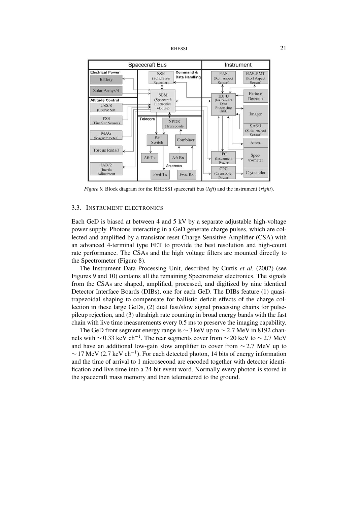

*Figure 9.* Block diagram for the RHESSI spacecraft bus (*left*) and the instrument (*right*).

### 3.3. INSTRUMENT ELECTRONICS

Each GeD is biased at between 4 and 5 kV by a separate adjustable high-voltage power supply. Photons interacting in a GeD generate charge pulses, which are collected and amplified by a transistor-reset Charge Sensitive Amplifier (CSA) with an advanced 4-terminal type FET to provide the best resolution and high-count rate performance. The CSAs and the high voltage filters are mounted directly to the Spectrometer (Figure 8).

The Instrument Data Processing Unit, described by Curtis *et al.* (2002) (see Figures 9 and 10) contains all the remaining Spectrometer electronics. The signals from the CSAs are shaped, amplified, processed, and digitized by nine identical Detector Interface Boards (DIBs), one for each GeD. The DIBs feature (1) quasitrapezoidal shaping to compensate for ballistic deficit effects of the charge collection in these large GeDs, (2) dual fast/slow signal processing chains for pulsepileup rejection, and (3) ultrahigh rate counting in broad energy bands with the fast chain with live time measurements every 0.5 ms to preserve the imaging capability.

The GeD front segment energy range is ∼ 3 keV up to ∼ 2.7 MeV in 8192 channels with  $\sim$  0.33 keV ch<sup>-1</sup>. The rear segments cover from  $\sim$  20 keV to  $\sim$  2.7 MeV and have an additional low-gain slow amplifier to cover from  $\sim$  2.7 MeV up to  $\sim$  17 MeV (2.7 keV ch<sup>-1</sup>). For each detected photon, 14 bits of energy information and the time of arrival to 1 microsecond are encoded together with detector identification and live time into a 24-bit event word. Normally every photon is stored in the spacecraft mass memory and then telemetered to the ground.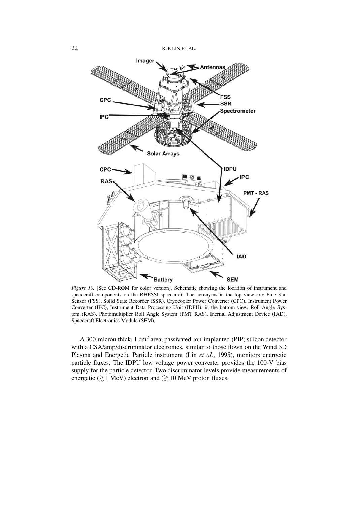

*Figure 10.* [See CD-ROM for color version]. Schematic showing the location of instrument and spacecraft components on the RHESSI spacecraft. The acronyms in the top view are: Fine Sun Sensor (FSS), Solid State Recorder (SSR), Cryocooler Power Converter (CPC), Instrument Power Converter (IPC), Instrument Data Processing Unit (IDPU); in the bottom view, Roll Angle System (RAS), Photomultiplier Roll Angle System (PMT RAS), Inertial Adjustment Device (IAD), Spacecraft Electronics Module (SEM).

A 300-micron thick, 1 cm<sup>2</sup> area, passivated-ion-implanted (PIP) silicon detector with a CSA/amp/discriminator electronics, similar to those flown on the Wind 3D Plasma and Energetic Particle instrument (Lin *et al.*, 1995), monitors energetic particle fluxes. The IDPU low voltage power converter provides the 100-V bias supply for the particle detector. Two discriminator levels provide measurements of energetic ( $\gtrsim 1$  MeV) electron and ( $\gtrsim 10$  MeV proton fluxes.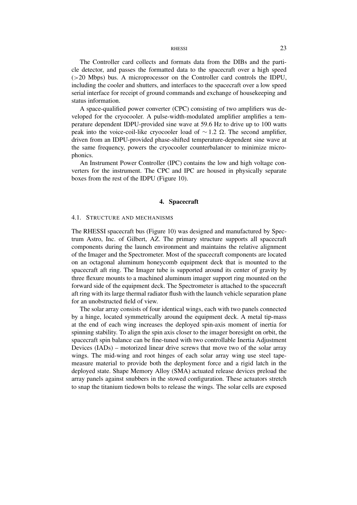The Controller card collects and formats data from the DIBs and the particle detector, and passes the formatted data to the spacecraft over a high speed (*>*20 Mbps) bus. A microprocessor on the Controller card controls the IDPU, including the cooler and shutters, and interfaces to the spacecraft over a low speed serial interface for receipt of ground commands and exchange of housekeeping and status information.

A space-qualified power converter (CPC) consisting of two amplifiers was developed for the cryocooler. A pulse-width-modulated amplifier amplifies a temperature dependent IDPU-provided sine wave at 59.6 Hz to drive up to 100 watts peak into the voice-coil-like cryocooler load of  $\sim$  1.2 Ω. The second amplifier, driven from an IDPU-provided phase-shifted temperature-dependent sine wave at the same frequency, powers the cryocooler counterbalancer to minimize microphonics.

An Instrument Power Controller (IPC) contains the low and high voltage converters for the instrument. The CPC and IPC are housed in physically separate boxes from the rest of the IDPU (Figure 10).

### **4. Spacecraft**

### 4.1. STRUCTURE AND MECHANISMS

The RHESSI spacecraft bus (Figure 10) was designed and manufactured by Spectrum Astro, Inc. of Gilbert, AZ. The primary structure supports all spacecraft components during the launch environment and maintains the relative alignment of the Imager and the Spectrometer. Most of the spacecraft components are located on an octagonal aluminum honeycomb equipment deck that is mounted to the spacecraft aft ring. The Imager tube is supported around its center of gravity by three flexure mounts to a machined aluminum imager support ring mounted on the forward side of the equipment deck. The Spectrometer is attached to the spacecraft aft ring with its large thermal radiator flush with the launch vehicle separation plane for an unobstructed field of view.

The solar array consists of four identical wings, each with two panels connected by a hinge, located symmetrically around the equipment deck. A metal tip-mass at the end of each wing increases the deployed spin-axis moment of inertia for spinning stability. To align the spin axis closer to the imager boresight on orbit, the spacecraft spin balance can be fine-tuned with two controllable Inertia Adjustment Devices (IADs) – motorized linear drive screws that move two of the solar array wings. The mid-wing and root hinges of each solar array wing use steel tapemeasure material to provide both the deployment force and a rigid latch in the deployed state. Shape Memory Alloy (SMA) actuated release devices preload the array panels against snubbers in the stowed configuration. These actuators stretch to snap the titanium tiedown bolts to release the wings. The solar cells are exposed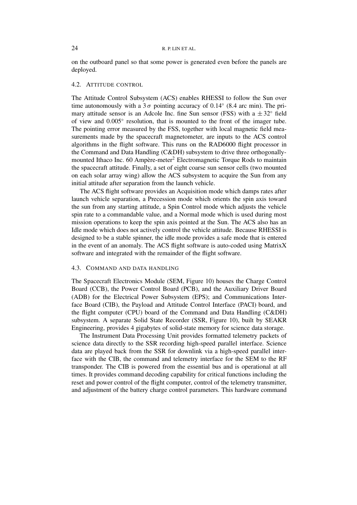on the outboard panel so that some power is generated even before the panels are deployed.

### 4.2. ATTITUDE CONTROL

The Attitude Control Subsystem (ACS) enables RHESSI to follow the Sun over time autonomously with a  $3\sigma$  pointing accuracy of 0.14 $\degree$  (8.4 arc min). The primary attitude sensor is an Adcole Inc. fine Sun sensor (FSS) with a  $\pm 32^{\circ}$  field of view and 0*.*005◦ resolution, that is mounted to the front of the imager tube. The pointing error measured by the FSS, together with local magnetic field measurements made by the spacecraft magnetometer, are inputs to the ACS control algorithms in the flight software. This runs on the RAD6000 flight processor in the Command and Data Handling (C&DH) subsystem to drive three orthogonallymounted Ithaco Inc. 60 Ampère-meter<sup>2</sup> Electromagnetic Torque Rods to maintain the spacecraft attitude. Finally, a set of eight coarse sun sensor cells (two mounted on each solar array wing) allow the ACS subsystem to acquire the Sun from any initial attitude after separation from the launch vehicle.

The ACS flight software provides an Acquisition mode which damps rates after launch vehicle separation, a Precession mode which orients the spin axis toward the sun from any starting attitude, a Spin Control mode which adjusts the vehicle spin rate to a commandable value, and a Normal mode which is used during most mission operations to keep the spin axis pointed at the Sun. The ACS also has an Idle mode which does not actively control the vehicle attitude. Because RHESSI is designed to be a stable spinner, the idle mode provides a safe mode that is entered in the event of an anomaly. The ACS flight software is auto-coded using MatrixX software and integrated with the remainder of the flight software.

## 4.3. COMMAND AND DATA HANDLING

The Spacecraft Electronics Module (SEM, Figure 10) houses the Charge Control Board (CCB), the Power Control Board (PCB), and the Auxiliary Driver Board (ADB) for the Electrical Power Subsystem (EPS); and Communications Interface Board (CIB), the Payload and Attitude Control Interface (PACI) board, and the flight computer (CPU) board of the Command and Data Handling (C&DH) subsystem. A separate Solid State Recorder (SSR, Figure 10), built by SEAKR Engineering, provides 4 gigabytes of solid-state memory for science data storage.

The Instrument Data Processing Unit provides formatted telemetry packets of science data directly to the SSR recording high-speed parallel interface. Science data are played back from the SSR for downlink via a high-speed parallel interface with the CIB, the command and telemetry interface for the SEM to the RF transponder. The CIB is powered from the essential bus and is operational at all times. It provides command decoding capability for critical functions including the reset and power control of the flight computer, control of the telemetry transmitter, and adjustment of the battery charge control parameters. This hardware command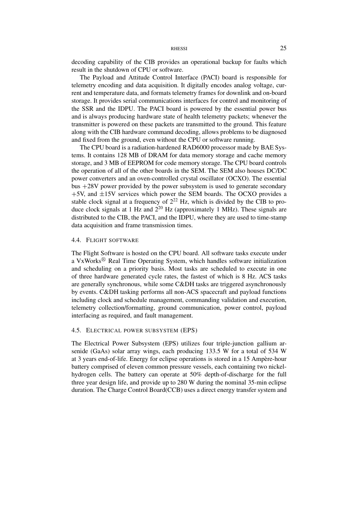decoding capability of the CIB provides an operational backup for faults which result in the shutdown of CPU or software.

The Payload and Attitude Control Interface (PACI) board is responsible for telemetry encoding and data acquisition. It digitally encodes analog voltage, current and temperature data, and formats telemetry frames for downlink and on-board storage. It provides serial communications interfaces for control and monitoring of the SSR and the IDPU. The PACI board is powered by the essential power bus and is always producing hardware state of health telemetry packets; whenever the transmitter is powered on these packets are transmitted to the ground. This feature along with the CIB hardware command decoding, allows problems to be diagnosed and fixed from the ground, even without the CPU or software running.

The CPU board is a radiation-hardened RAD6000 processor made by BAE Systems. It contains 128 MB of DRAM for data memory storage and cache memory storage, and 3 MB of EEPROM for code memory storage. The CPU board controls the operation of all of the other boards in the SEM. The SEM also houses DC/DC power converters and an oven-controlled crystal oscillator (OCXO). The essential bus +28V power provided by the power subsystem is used to generate secondary  $+5V$ , and  $\pm 15V$  services which power the SEM boards. The OCXO provides a stable clock signal at a frequency of  $2^{22}$  Hz, which is divided by the CIB to produce clock signals at 1 Hz and  $2^{20}$  Hz (approximately 1 MHz). These signals are distributed to the CIB, the PACI, and the IDPU, where they are used to time-stamp data acquisition and frame transmission times.

## 4.4. FLIGHT SOFTWARE

The Flight Software is hosted on the CPU board. All software tasks execute under a VxWorks<sup>®</sup> Real Time Operating System, which handles software initialization and scheduling on a priority basis. Most tasks are scheduled to execute in one of three hardware generated cycle rates, the fastest of which is 8 Hz. ACS tasks are generally synchronous, while some C&DH tasks are triggered asynchronously by events. C&DH tasking performs all non-ACS spacecraft and payload functions including clock and schedule management, commanding validation and execution, telemetry collection/formatting, ground communication, power control, payload interfacing as required, and fault management.

## 4.5. ELECTRICAL POWER SUBSYSTEM (EPS)

The Electrical Power Subsystem (EPS) utilizes four triple-junction gallium arsenide (GaAs) solar array wings, each producing 133.5 W for a total of 534 W at 3 years end-of-life. Energy for eclipse operations is stored in a 15 Ampère-hour battery comprised of eleven common pressure vessels, each containing two nickelhydrogen cells. The battery can operate at 50% depth-of-discharge for the full three year design life, and provide up to 280 W during the nominal 35-min eclipse duration. The Charge Control Board(CCB) uses a direct energy transfer system and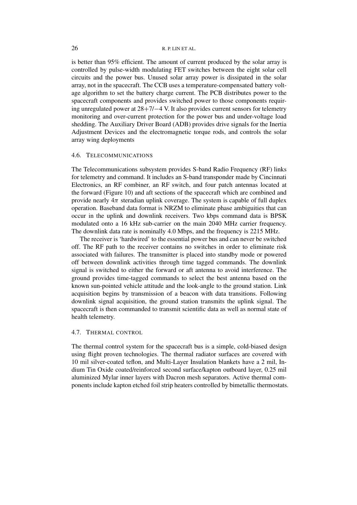is better than 95% efficient. The amount of current produced by the solar array is controlled by pulse-width modulating FET switches between the eight solar cell circuits and the power bus. Unused solar array power is dissipated in the solar array, not in the spacecraft. The CCB uses a temperature-compensated battery voltage algorithm to set the battery charge current. The PCB distributes power to the spacecraft components and provides switched power to those components requiring unregulated power at 28+7/−4 V. It also provides current sensors for telemetry monitoring and over-current protection for the power bus and under-voltage load shedding. The Auxiliary Driver Board (ADB) provides drive signals for the Inertia Adjustment Devices and the electromagnetic torque rods, and controls the solar array wing deployments

### 4.6. TELECOMMUNICATIONS

The Telecommunications subsystem provides S-band Radio Frequency (RF) links for telemetry and command. It includes an S-band transponder made by Cincinnati Electronics, an RF combiner, an RF switch, and four patch antennas located at the forward (Figure 10) and aft sections of the spacecraft which are combined and provide nearly  $4\pi$  steradian uplink coverage. The system is capable of full duplex operation. Baseband data format is NRZM to eliminate phase ambiguities that can occur in the uplink and downlink receivers. Two kbps command data is BPSK modulated onto a 16 kHz sub-carrier on the main 2040 MHz carrier frequency. The downlink data rate is nominally 4.0 Mbps, and the frequency is 2215 MHz.

The receiver is 'hardwired' to the essential power bus and can never be switched off. The RF path to the receiver contains no switches in order to eliminate risk associated with failures. The transmitter is placed into standby mode or powered off between downlink activities through time tagged commands. The downlink signal is switched to either the forward or aft antenna to avoid interference. The ground provides time-tagged commands to select the best antenna based on the known sun-pointed vehicle attitude and the look-angle to the ground station. Link acquisition begins by transmission of a beacon with data transitions. Following downlink signal acquisition, the ground station transmits the uplink signal. The spacecraft is then commanded to transmit scientific data as well as normal state of health telemetry.

## 4.7. THERMAL CONTROL

The thermal control system for the spacecraft bus is a simple, cold-biased design using flight proven technologies. The thermal radiator surfaces are covered with 10 mil silver-coated teflon, and Multi-Layer Insulation blankets have a 2 mil, Indium Tin Oxide coated/reinforced second surface/kapton outboard layer, 0.25 mil aluminized Mylar inner layers with Dacron mesh separators. Active thermal components include kapton etched foil strip heaters controlled by bimetallic thermostats.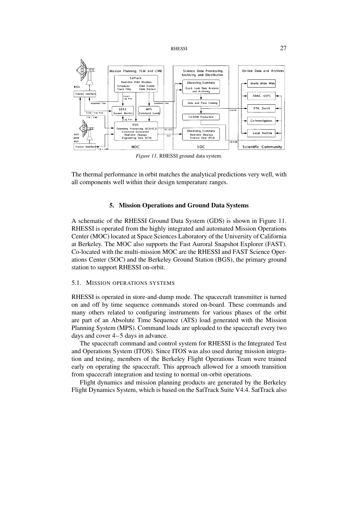

*Figure 11.* RHESSI ground data system.

The thermal performance in orbit matches the analytical predictions very well, with all components well within their design temperature ranges.

### **5. Mission Operations and Ground Data Systems**

A schematic of the RHESSI Ground Data System (GDS) is shown in Figure 11. RHESSI is operated from the highly integrated and automated Mission Operations Center (MOC) located at Space Sciences Laboratory of the University of California at Berkeley. The MOC also supports the Fast Auroral Snapshot Explorer (FAST). Co-located with the multi-mission MOC are the RHESSI and FAST Science Operations Center (SOC) and the Berkeley Ground Station (BGS), the primary ground station to support RHESSI on-orbit.

## 5.1. MISSION OPERATIONS SYSTEMS

RHESSI is operated in store-and-dump mode. The spacecraft transmitter is turned on and off by time sequence commands stored on-board. These commands and many others related to configuring instruments for various phases of the orbit are part of an Absolute Time Sequence (ATS) load generated with the Mission Planning System (MPS). Command loads are uploaded to the spacecraft every two days and cover 4–5 days in advance.

The spacecraft command and control system for RHESSI is the Integrated Test and Operations System (ITOS). Since ITOS was also used during mission integration and testing, members of the Berkeley Flight Operations Team were trained early on operating the spacecraft. This approach allowed for a smooth transition from spacecraft integration and testing to normal on-orbit operations.

Flight dynamics and mission planning products are generated by the Berkeley Flight Dynamics System, which is based on the SatTrack Suite V4.4. SatTrack also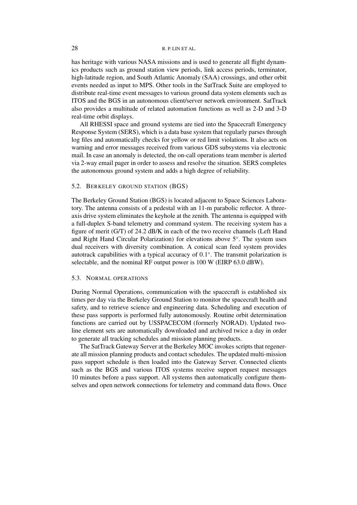has heritage with various NASA missions and is used to generate all flight dynamics products such as ground station view periods, link access periods, terminator, high-latitude region, and South Atlantic Anomaly (SAA) crossings, and other orbit events needed as input to MPS. Other tools in the SatTrack Suite are employed to distribute real-time event messages to various ground data system elements such as ITOS and the BGS in an autonomous client/server network environment. SatTrack also provides a multitude of related automation functions as well as 2-D and 3-D real-time orbit displays.

All RHESSI space and ground systems are tied into the Spacecraft Emergency Response System (SERS), which is a data base system that regularly parses through log files and automatically checks for yellow or red limit violations. It also acts on warning and error messages received from various GDS subsystems via electronic mail. In case an anomaly is detected, the on-call operations team member is alerted via 2-way email pager in order to assess and resolve the situation. SERS completes the autonomous ground system and adds a high degree of reliability.

## 5.2. BERKELEY GROUND STATION (BGS)

The Berkeley Ground Station (BGS) is located adjacent to Space Sciences Laboratory. The antenna consists of a pedestal with an 11-m parabolic reflector. A threeaxis drive system eliminates the keyhole at the zenith. The antenna is equipped with a full-duplex S-band telemetry and command system. The receiving system has a figure of merit (G/T) of 24.2 dB/K in each of the two receive channels (Left Hand and Right Hand Circular Polarization) for elevations above 5◦. The system uses dual receivers with diversity combination. A conical scan feed system provides autotrack capabilities with a typical accuracy of 0*.*1◦. The transmit polarization is selectable, and the nominal RF output power is 100 W (EIRP 63.0 dBW).

### 5.3. NORMAL OPERATIONS

During Normal Operations, communication with the spacecraft is established six times per day via the Berkeley Ground Station to monitor the spacecraft health and safety, and to retrieve science and engineering data. Scheduling and execution of these pass supports is performed fully autonomously. Routine orbit determination functions are carried out by USSPACECOM (formerly NORAD). Updated twoline element sets are automatically downloaded and archived twice a day in order to generate all tracking schedules and mission planning products.

The SatTrack Gateway Server at the Berkeley MOC invokes scripts that regenerate all mission planning products and contact schedules. The updated multi-mission pass support schedule is then loaded into the Gateway Server. Connected clients such as the BGS and various ITOS systems receive support request messages 10 minutes before a pass support. All systems then automatically configure themselves and open network connections for telemetry and command data flows. Once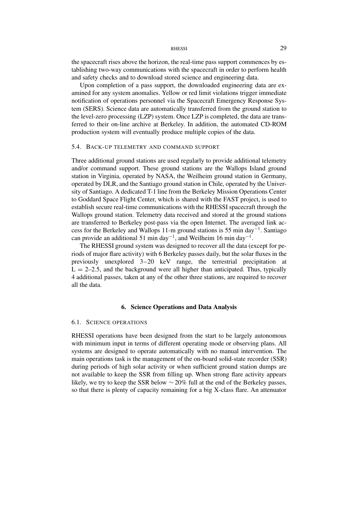the spacecraft rises above the horizon, the real-time pass support commences by establishing two-way communications with the spacecraft in order to perform health and safety checks and to download stored science and engineering data.

Upon completion of a pass support, the downloaded engineering data are examined for any system anomalies. Yellow or red limit violations trigger immediate notification of operations personnel via the Spacecraft Emergency Response System (SERS). Science data are automatically transferred from the ground station to the level-zero processing (LZP) system. Once LZP is completed, the data are transferred to their on-line archive at Berkeley. In addition, the automated CD-ROM production system will eventually produce multiple copies of the data.

## 5.4. BACK-UP TELEMETRY AND COMMAND SUPPORT

Three additional ground stations are used regularly to provide additional telemetry and/or command support. These ground stations are the Wallops Island ground station in Virginia, operated by NASA, the Weilheim ground station in Germany, operated by DLR, and the Santiago ground station in Chile, operated by the University of Santiago. A dedicated T-1 line from the Berkeley Mission Operations Center to Goddard Space Flight Center, which is shared with the FAST project, is used to establish secure real-time communications with the RHESSI spacecraft through the Wallops ground station. Telemetry data received and stored at the ground stations are transferred to Berkeley post-pass via the open Internet. The averaged link access for the Berkeley and Wallops 11-m ground stations is 55 min day<sup>-1</sup>. Santiago can provide an additional 51 min day<sup>-1</sup>, and Weilheim 16 min day<sup>-1</sup>.

The RHESSI ground system was designed to recover all the data (except for periods of major flare activity) with 6 Berkeley passes daily, but the solar fluxes in the previously unexplored 3–20 keV range, the terrestrial precipitation at  $L = 2-2.5$ , and the background were all higher than anticipated. Thus, typically 4 additional passes, taken at any of the other three stations, are required to recover all the data.

## **6. Science Operations and Data Analysis**

### 6.1. SCIENCE OPERATIONS

RHESSI operations have been designed from the start to be largely autonomous with minimum input in terms of different operating mode or observing plans. All systems are designed to operate automatically with no manual intervention. The main operations task is the management of the on-board solid-state recorder (SSR) during periods of high solar activity or when sufficient ground station dumps are not available to keep the SSR from filling up. When strong flare activity appears likely, we try to keep the SSR below  $\sim$  20% full at the end of the Berkeley passes, so that there is plenty of capacity remaining for a big X-class flare. An attenuator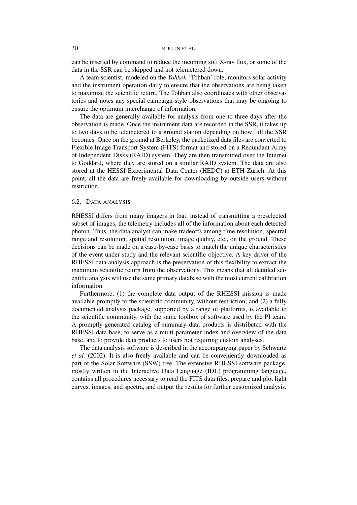can be inserted by command to reduce the incoming soft X-ray flux, or some of the data in the SSR can be skipped and not telemetered down.

A team scientist, modeled on the *Yohkoh* 'Tohban' role, monitors solar activity and the instrument operation daily to ensure that the observations are being taken to maximize the scientific return. The Tohban also coordinates with other observatories and notes any special campaign-style observations that may be ongoing to ensure the optimum interchange of information.

The data are generally available for analysis from one to three days after the observation is made. Once the instrument data are recorded in the SSR, it takes up to two days to be telemetered to a ground station depending on how full the SSR becomes. Once on the ground at Berkeley, the packetized data files are converted to Flexible Image Transport System (FITS) format and stored on a Redundant Array of Independent Disks (RAID) system. They are then transmitted over the Internet to Goddard, where they are stored on a similar RAID system. The data are also stored at the HESSI Experimental Data Center (HEDC) at ETH Zurich. At this point, all the data are freely available for downloading by outside users without restriction.

## 6.2. DATA ANALYSIS

RHESSI differs from many imagers in that, instead of transmitting a preselected subset of images, the telemetry includes all of the information about each detected photon. Thus, the data analyst can make tradeoffs among time resolution, spectral range and resolution, spatial resolution, image quality, etc., on the ground. These decisions can be made on a case-by-case basis to match the unique characteristics of the event under study and the relevant scientific objective. A key driver of the RHESSI data analysis approach is the preservation of this flexibility to extract the maximum scientific return from the observations. This means that all detailed scientific analysis will use the same primary database with the most current calibration information.

Furthermore, (1) the complete data output of the RHESSI mission is made available promptly to the scientific community, without restriction; and (2) a fully documented analysis package, supported by a range of platforms, is available to the scientific community, with the same toolbox of software used by the PI team. A promptly-generated catalog of summary data products is distributed with the RHESSI data base, to serve as a multi-parameter index and overview of the data base, and to provide data products to users not requiring custom analyses.

The data analysis software is described in the accompanying paper by Schwartz *et al.* (2002). It is also freely available and can be conveniently downloaded as part of the Solar Software (SSW) tree. The extensive RHESSI software package, mostly written in the Interactive Data Language (IDL) programming language, contains all procedures necessary to read the FITS data files, prepare and plot light curves, images, and spectra, and output the results for further customized analysis.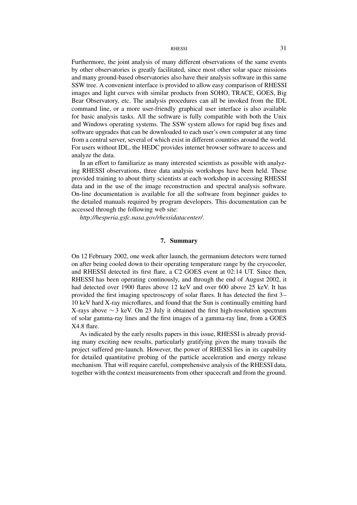Furthermore, the joint analysis of many different observations of the same events by other observatories is greatly facilitated, since most other solar space missions and many ground-based observatories also have their analysis software in this same SSW tree. A convenient interface is provided to allow easy comparison of RHESSI images and light curves with similar products from SOHO, TRACE, GOES, Big Bear Observatory, etc. The analysis procedures can all be invoked from the IDL command line, or a more user-friendly graphical user interface is also available for basic analysis tasks. All the software is fully compatible with both the Unix and Windows operating systems. The SSW system allows for rapid bug fixes and software upgrades that can be downloaded to each user's own computer at any time from a central server, several of which exist in different countries around the world. For users without IDL, the HEDC provides internet browser software to access and analyze the data.

In an effort to familiarize as many interested scientists as possible with analyzing RHESSI observations, three data analysis workshops have been held. These provided training to about thirty scientists at each workshop in accessing RHESSI data and in the use of the image reconstruction and spectral analysis software. On-line documentation is available for all the software from beginner guides to the detailed manuals required by program developers. This documentation can be accessed through the following web site:

*http://hesperia.gsfc.nasa.gov/rhessidatacenter/*.

## **7. Summary**

On 12 February 2002, one week after launch, the germanium detectors were turned on after being cooled down to their operating temperature range by the cryocooler, and RHESSI detected its first flare, a C2 GOES event at 02:14 UT. Since then, RHESSI has been operating continously, and through the end of August 2002, it had detected over 1900 flares above 12 keV and over 600 above 25 keV. It has provided the first imaging spectroscopy of solar flares. It has detected the first 3– 10 keV hard X-ray microflares, and found that the Sun is continually emitting hard X-rays above ∼ 3 keV. On 23 July it obtained the first high-resolution spectrum of solar gamma-ray lines and the first images of a gamma-ray line, from a GOES X4.8 flare.

As indicated by the early results papers in this issue, RHESSI is already providing many exciting new results, particularly gratifying given the many travails the project suffered pre-launch. However, the power of RHESSI lies in its capability for detailed quantitative probing of the particle acceleration and energy release mechanism. That will require careful, comprehensive analysis of the RHESSI data, together with the context measurements from other spacecraft and from the ground.